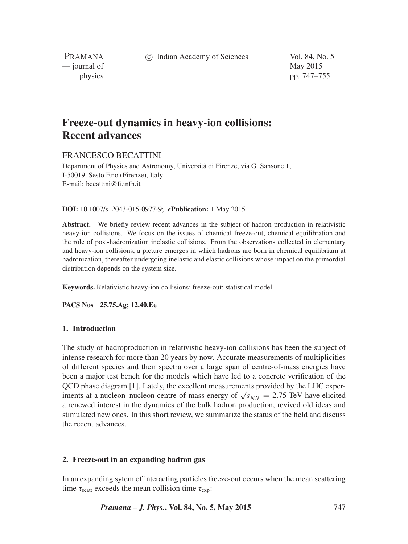c Indian Academy of Sciences Vol. 84, No. 5

PRAMANA — journal of May 2015

physics pp. 747–755

# **Freeze-out dynamics in heavy-ion collisions: Recent advances**

# FRANCESCO BECATTINI

Department of Physics and Astronomy, Università di Firenze, via G. Sansone 1, I-50019, Sesto F.no (Firenze), Italy E-mail: becattini@fi.infn.it

#### **DOI:** 10.1007/s12043-015-0977-9; *e***Publication:** 1 May 2015

**Abstract.** We briefly review recent advances in the subject of hadron production in relativistic heavy-ion collisions. We focus on the issues of chemical freeze-out, chemical equilibration and the role of post-hadronization inelastic collisions. From the observations collected in elementary and heavy-ion collisions, a picture emerges in which hadrons are born in chemical equilibrium at hadronization, thereafter undergoing inelastic and elastic collisions whose impact on the primordial distribution depends on the system size.

**Keywords.** Relativistic heavy-ion collisions; freeze-out; statistical model.

**PACS Nos 25.75.Ag; 12.40.Ee**

# **1. Introduction**

The study of hadroproduction in relativistic heavy-ion collisions has been the subject of intense research for more than 20 years by now. Accurate measurements of multiplicities of different species and their spectra over a large span of centre-of-mass energies have been a major test bench for the models which have led to a concrete verification of the QCD phase diagram [1]. Lately, the excellent measurements provided by the LHC experiments at a nucleon–nucleon centre-of-mass energy of  $\sqrt{s}_{NN} = 2.75$  TeV have elicited a renewed interest in the dynamics of the bulk hadron production, revived old ideas and stimulated new ones. In this short review, we summarize the status of the field and discuss the recent advances.

# **2. Freeze-out in an expanding hadron gas**

In an expanding sytem of interacting particles freeze-out occurs when the mean scattering time  $\tau_{scatt}$  exceeds the mean collision time  $\tau_{exp}$ :

*Pramana – J. Phys.***, Vol. 84, No. 5, May 2015** 747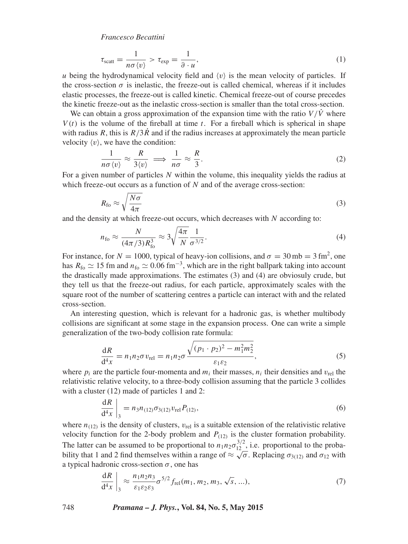*Francesco Becattini*

$$
\tau_{\text{scatt}} = \frac{1}{n\sigma \langle v \rangle} > \tau_{\text{exp}} = \frac{1}{\partial u}, \tag{1}
$$

*u* being the hydrodynamical velocity field and  $\langle v \rangle$  is the mean velocity of particles. If the cross-section  $\sigma$  is inelastic, the freeze-out is called chemical, whereas if it includes elastic processes, the freeze-out is called kinetic. Chemical freeze-out of course precedes the kinetic freeze-out as the inelastic cross-section is smaller than the total cross-section.

We can obtain a gross approximation of the expansion time with the ratio  $V/\dot{V}$  where  $V(t)$  is the volume of the fireball at time  $t$ . For a fireball which is spherical in shape with radius *R*, this is  $R/3R$  and if the radius increases at approximately the mean particle velocity  $\langle v \rangle$ , we have the condition:

$$
\frac{1}{n\sigma \langle v \rangle} \approx \frac{R}{3\langle v \rangle} \implies \frac{1}{n\sigma} \approx \frac{R}{3}.
$$
 (2)

For a given number of particles *N* within the volume, this inequality yields the radius at which freeze-out occurs as a function of *N* and of the average cross-section:

$$
R_{\rm fo} \approx \sqrt{\frac{N\sigma}{4\pi}}\tag{3}
$$

and the density at which freeze-out occurs, which decreases with *N* according to:

$$
n_{\rm fo} \approx \frac{N}{(4\pi/3)R_{\rm fo}^3} \approx 3\sqrt{\frac{4\pi}{N}} \frac{1}{\sigma^{3/2}}.
$$
\n(4)

For instance, for  $N = 1000$ , typical of heavy-ion collisions, and  $\sigma = 30$  mb = 3 fm<sup>2</sup>, one has  $R_{\text{fo}} \simeq 15$  fm and  $n_{\text{fo}} \simeq 0.06$  fm<sup>-3</sup>, which are in the right ballpark taking into account the drastically made approximations. The estimates (3) and (4) are obviosuly crude, but they tell us that the freeze-out radius, for each particle, approximately scales with the square root of the number of scattering centres a particle can interact with and the related cross-section.

An interesting question, which is relevant for a hadronic gas, is whether multibody collisions are significant at some stage in the expansion process. One can write a simple generalization of the two-body collision rate formula:

$$
\frac{dR}{d^4x} = n_1 n_2 \sigma v_{\text{rel}} = n_1 n_2 \sigma \frac{\sqrt{(p_1 \cdot p_2)^2 - m_1^2 m_2^2}}{\varepsilon_1 \varepsilon_2},\tag{5}
$$

where  $p_i$  are the particle four-momenta and  $m_i$  their masses,  $n_i$  their densities and  $v_{rel}$  the relativistic relative velocity, to a three-body collision assuming that the particle 3 collides with a cluster (12) made of particles 1 and 2:

$$
\left. \frac{\mathrm{d}R}{\mathrm{d}^4 x} \right|_3 = n_3 n_{(12)} \sigma_{3(12)} v_{\text{rel}} P_{(12)},\tag{6}
$$

where  $n_{(12)}$  is the density of clusters,  $v_{\text{rel}}$  is a suitable extension of the relativistic relative velocity function for the 2-body problem and  $P_{(12)}$  is the cluster formation probability. The latter can be assumed to be proportional to  $n_1 n_2 \sigma_{12}^{3/2}$ , i.e. proportional to the probability that 1 and 2 find themselves within a range of  $\approx \sqrt{\sigma}$ . Replacing  $\sigma_{3(12)}$  and  $\sigma_{12}$  with a typical hadronic cross-section *σ*, one has

$$
\frac{dR}{d^4x}\Big|_{3} \approx \frac{n_1 n_2 n_3}{\varepsilon_1 \varepsilon_2 \varepsilon_3} \sigma^{5/2} f_{\text{rel}}(m_1, m_2, m_3, \sqrt{s}, ...), \tag{7}
$$

748 *Pramana – J. Phys.***, Vol. 84, No. 5, May 2015**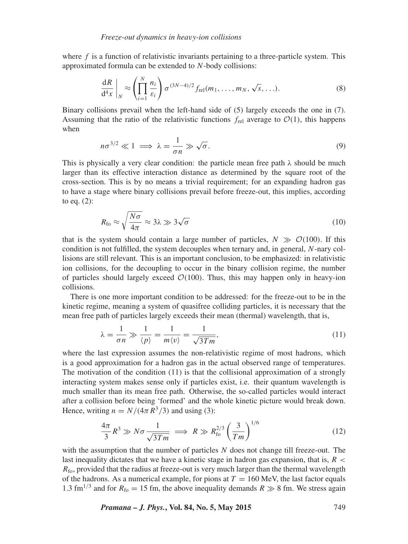where *f* is a function of relativistic invariants pertaining to a three-particle system. This approximated formula can be extended to *N*-body collisions:

$$
\frac{\mathrm{d}R}{\mathrm{d}^4x}\bigg|_N \approx \left(\prod_{i=1}^N \frac{n_i}{\varepsilon_i}\right) \sigma^{(3N-4)/2} f_{\text{rel}}(m_1, \dots, m_N, \sqrt{s}, \dots). \tag{8}
$$

Binary collisions prevail when the left-hand side of (5) largely exceeds the one in (7). Assuming that the ratio of the relativistic functions  $f_{rel}$  average to  $\mathcal{O}(1)$ , this happens when

$$
n\sigma^{3/2} \ll 1 \implies \lambda = \frac{1}{\sigma n} \gg \sqrt{\sigma}.
$$
\n(9)

This is physically a very clear condition: the particle mean free path  $\lambda$  should be much larger than its effective interaction distance as determined by the square root of the cross-section. This is by no means a trivial requirement; for an expanding hadron gas to have a stage where binary collisions prevail before freeze-out, this implies, according to eq. (2):

$$
R_{\rm fo} \approx \sqrt{\frac{N\sigma}{4\pi}} \approx 3\lambda \gg 3\sqrt{\sigma} \tag{10}
$$

that is the system should contain a large number of particles,  $N \gg O(100)$ . If this condition is not fulfilled, the system decouples when ternary and, in general, *N*-nary collisions are still relevant. This is an important conclusion, to be emphasized: in relativistic ion collisions, for the decoupling to occur in the binary collision regime, the number of particles should largely exceed  $\mathcal{O}(100)$ . Thus, this may happen only in heavy-ion collisions.

There is one more important condition to be addressed: for the freeze-out to be in the kinetic regime, meaning a system of quasifree colliding particles, it is necessary that the mean free path of particles largely exceeds their mean (thermal) wavelength, that is,

$$
\lambda = \frac{1}{\sigma n} \gg \frac{1}{\langle p \rangle} = \frac{1}{m \langle v \rangle} = \frac{1}{\sqrt{3Tm}},\tag{11}
$$

where the last expression assumes the non-relativistic regime of most hadrons, which is a good approximation for a hadron gas in the actual observed range of temperatures. The motivation of the condition (11) is that the collisional approximation of a strongly interacting system makes sense only if particles exist, i.e. their quantum wavelength is much smaller than its mean free path. Otherwise, the so-called particles would interact after a collision before being 'formed' and the whole kinetic picture would break down. Hence, writing  $n = N/(4\pi R^3/3)$  and using (3):

$$
\frac{4\pi}{3}R^3 \gg N\sigma \frac{1}{\sqrt{3Tm}} \implies R \gg R_{\text{fo}}^{2/3} \left(\frac{3}{Tm}\right)^{1/6} \tag{12}
$$

with the assumption that the number of particles *N* does not change till freeze-out. The last inequality dictates that we have a kinetic stage in hadron gas expansion, that is, *R <*  $R_{\text{fo}}$ , provided that the radius at freeze-out is very much larger than the thermal wavelength of the hadrons. As a numerical example, for pions at  $T = 160$  MeV, the last factor equals 1.3 fm<sup>1/3</sup> and for  $R_{\text{fo}} = 15$  fm, the above inequality demands  $R \gg 8$  fm. We stress again

*Pramana – J. Phys.***, Vol. 84, No. 5, May 2015** 749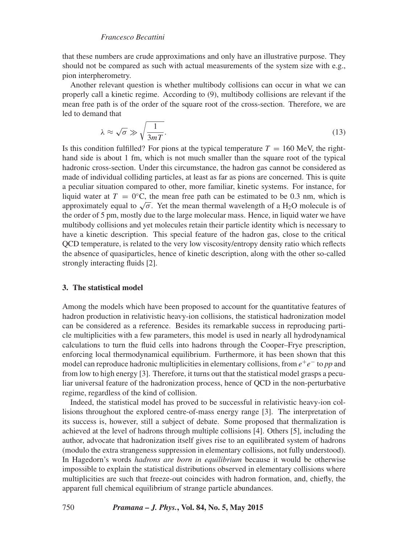# *Francesco Becattini*

that these numbers are crude approximations and only have an illustrative purpose. They should not be compared as such with actual measurements of the system size with e.g., pion interpherometry.

Another relevant question is whether multibody collisions can occur in what we can properly call a kinetic regime. According to (9), multibody collisions are relevant if the mean free path is of the order of the square root of the cross-section. Therefore, we are led to demand that

$$
\lambda \approx \sqrt{\sigma} \gg \sqrt{\frac{1}{3mT}}.\tag{13}
$$

Is this condition fulfilled? For pions at the typical temperature  $T = 160$  MeV, the righthand side is about 1 fm, which is not much smaller than the square root of the typical hadronic cross-section. Under this circumstance, the hadron gas cannot be considered as made of individual colliding particles, at least as far as pions are concerned. This is quite a peculiar situation compared to other, more familiar, kinetic systems. For instance, for liquid water at  $T = 0$ <sup>o</sup>C, the mean free path can be estimated to be 0.3 nm, which is approximately equal to  $\sqrt{\sigma}$ . Yet the mean thermal wavelength of a H<sub>2</sub>O molecule is of the order of 5 pm, mostly due to the large molecular mass. Hence, in liquid water we have multibody collisions and yet molecules retain their particle identity which is necessary to have a kinetic description. This special feature of the hadron gas, close to the critical QCD temperature, is related to the very low viscosity/entropy density ratio which reflects the absence of quasiparticles, hence of kinetic description, along with the other so-called strongly interacting fluids [2].

## **3. The statistical model**

Among the models which have been proposed to account for the quantitative features of hadron production in relativistic heavy-ion collisions, the statistical hadronization model can be considered as a reference. Besides its remarkable success in reproducing particle multiplicities with a few parameters, this model is used in nearly all hydrodynamical calculations to turn the fluid cells into hadrons through the Cooper–Frye prescription, enforcing local thermodynamical equilibrium. Furthermore, it has been shown that this model can reproduce hadronic multiplicities in elementary collisions, from *e*<sup>+</sup>*e*<sup>−</sup> to *pp* and from low to high energy [3]. Therefore, it turns out that the statistical model grasps a peculiar universal feature of the hadronization process, hence of QCD in the non-perturbative regime, regardless of the kind of collision.

Indeed, the statistical model has proved to be successful in relativistic heavy-ion collisions throughout the explored centre-of-mass energy range [3]. The interpretation of its success is, however, still a subject of debate. Some proposed that thermalization is achieved at the level of hadrons through multiple collisions [4]. Others [5], including the author, advocate that hadronization itself gives rise to an equilibrated system of hadrons (modulo the extra strangeness suppression in elementary collisions, not fully understood). In Hagedorn's words *hadrons are born in equilibrium* because it would be otherwise impossible to explain the statistical distributions observed in elementary collisions where multiplicities are such that freeze-out coincides with hadron formation, and, chiefly, the apparent full chemical equilibrium of strange particle abundances.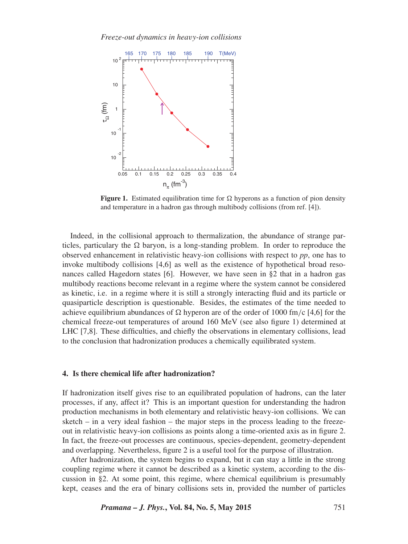

**Figure 1.** Estimated equilibration time for  $\Omega$  hyperons as a function of pion density and temperature in a hadron gas through multibody collisions (from ref. [4]).

Indeed, in the collisional approach to thermalization, the abundance of strange particles, particulary the  $\Omega$  baryon, is a long-standing problem. In order to reproduce the observed enhancement in relativistic heavy-ion collisions with respect to *pp*, one has to invoke multibody collisions [4,6] as well as the existence of hypothetical broad resonances called Hagedorn states [6]. However, we have seen in §2 that in a hadron gas multibody reactions become relevant in a regime where the system cannot be considered as kinetic, i.e. in a regime where it is still a strongly interacting fluid and its particle or quasiparticle description is questionable. Besides, the estimates of the time needed to achieve equilibrium abundances of  $\Omega$  hyperon are of the order of 1000 fm/c [4,6] for the chemical freeze-out temperatures of around 160 MeV (see also figure 1) determined at LHC [7,8]. These difficulties, and chiefly the observations in elementary collisions, lead to the conclusion that hadronization produces a chemically equilibrated system.

#### **4. Is there chemical life after hadronization?**

If hadronization itself gives rise to an equilibrated population of hadrons, can the later processes, if any, affect it? This is an important question for understanding the hadron production mechanisms in both elementary and relativistic heavy-ion collisions. We can sketch – in a very ideal fashion – the major steps in the process leading to the freezeout in relativistic heavy-ion collisions as points along a time-oriented axis as in figure 2. In fact, the freeze-out processes are continuous, species-dependent, geometry-dependent and overlapping. Nevertheless, figure 2 is a useful tool for the purpose of illustration.

After hadronization, the system begins to expand, but it can stay a little in the strong coupling regime where it cannot be described as a kinetic system, according to the discussion in §2. At some point, this regime, where chemical equilibrium is presumably kept, ceases and the era of binary collisions sets in, provided the number of particles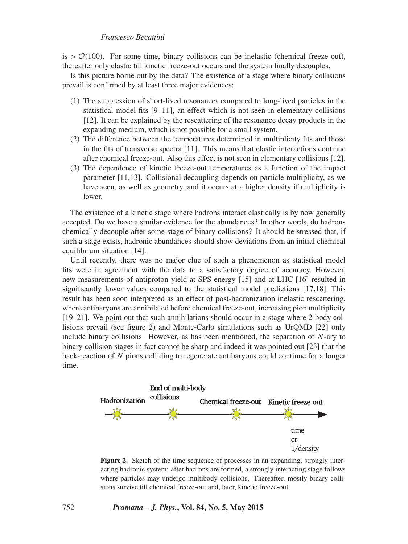#### *Francesco Becattini*

is  $> O(100)$ . For some time, binary collisions can be inelastic (chemical freeze-out), thereafter only elastic till kinetic freeze-out occurs and the system finally decouples.

Is this picture borne out by the data? The existence of a stage where binary collisions prevail is confirmed by at least three major evidences:

- (1) The suppression of short-lived resonances compared to long-lived particles in the statistical model fits [9–11], an effect which is not seen in elementary collisions [12]. It can be explained by the rescattering of the resonance decay products in the expanding medium, which is not possible for a small system.
- (2) The difference between the temperatures determined in multiplicity fits and those in the fits of transverse spectra [11]. This means that elastic interactions continue after chemical freeze-out. Also this effect is not seen in elementary collisions [12].
- (3) The dependence of kinetic freeze-out temperatures as a function of the impact parameter [11,13]. Collisional decoupling depends on particle multiplicity, as we have seen, as well as geometry, and it occurs at a higher density if multiplicity is lower.

The existence of a kinetic stage where hadrons interact elastically is by now generally accepted. Do we have a similar evidence for the abundances? In other words, do hadrons chemically decouple after some stage of binary collisions? It should be stressed that, if such a stage exists, hadronic abundances should show deviations from an initial chemical equilibrium situation [14].

Until recently, there was no major clue of such a phenomenon as statistical model fits were in agreement with the data to a satisfactory degree of accuracy. However, new measurements of antiproton yield at SPS energy [15] and at LHC [16] resulted in significantly lower values compared to the statistical model predictions [17,18]. This result has been soon interpreted as an effect of post-hadronization inelastic rescattering, where antibaryons are annihilated before chemical freeze-out, increasing pion multiplicity [19–21]. We point out that such annihilations should occur in a stage where 2-body collisions prevail (see figure 2) and Monte-Carlo simulations such as UrQMD [22] only include binary collisions. However, as has been mentioned, the separation of *N*-ary to binary collision stages in fact cannot be sharp and indeed it was pointed out [23] that the back-reaction of *N* pions colliding to regenerate antibaryons could continue for a longer time.



**Figure 2.** Sketch of the time sequence of processes in an expanding, strongly interacting hadronic system: after hadrons are formed, a strongly interacting stage follows where particles may undergo multibody collisions. Thereafter, mostly binary collisions survive till chemical freeze-out and, later, kinetic freeze-out.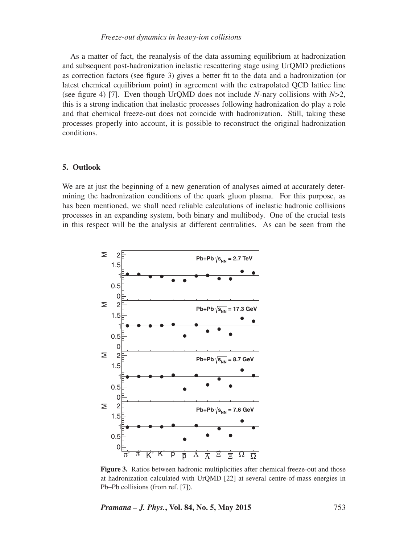As a matter of fact, the reanalysis of the data assuming equilibrium at hadronization and subsequent post-hadronization inelastic rescattering stage using UrQMD predictions as correction factors (see figure 3) gives a better fit to the data and a hadronization (or latest chemical equilibrium point) in agreement with the extrapolated QCD lattice line (see figure 4) [7]. Even though UrQMD does not include *N*-nary collisions with *N*>2, this is a strong indication that inelastic processes following hadronization do play a role and that chemical freeze-out does not coincide with hadronization. Still, taking these processes properly into account, it is possible to reconstruct the original hadronization conditions.

#### **5. Outlook**

We are at just the beginning of a new generation of analyses aimed at accurately determining the hadronization conditions of the quark gluon plasma. For this purpose, as has been mentioned, we shall need reliable calculations of inelastic hadronic collisions processes in an expanding system, both binary and multibody. One of the crucial tests in this respect will be the analysis at different centralities. As can be seen from the



**Figure 3.** Ratios between hadronic multiplicities after chemical freeze-out and those at hadronization calculated with UrQMD [22] at several centre-of-mass energies in Pb–Pb collisions (from ref. [7]).

*Pramana – J. Phys.***, Vol. 84, No. 5, May 2015** 753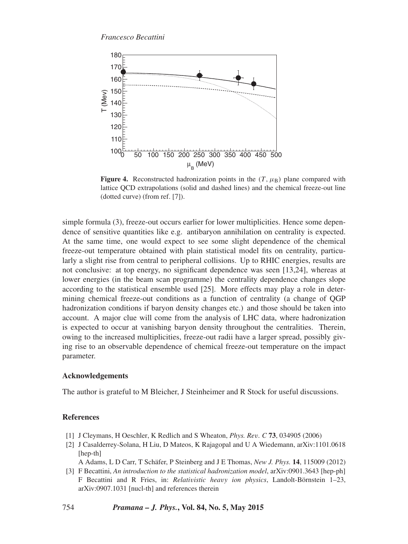

**Figure 4.** Reconstructed hadronization points in the  $(T, \mu_B)$  plane compared with lattice QCD extrapolations (solid and dashed lines) and the chemical freeze-out line (dotted curve) (from ref. [7]).

simple formula (3), freeze-out occurs earlier for lower multiplicities. Hence some dependence of sensitive quantities like e.g. antibaryon annihilation on centrality is expected. At the same time, one would expect to see some slight dependence of the chemical freeze-out temperature obtained with plain statistical model fits on centrality, particularly a slight rise from central to peripheral collisions. Up to RHIC energies, results are not conclusive: at top energy, no significant dependence was seen [13,24], whereas at lower energies (in the beam scan programme) the centrality dependence changes slope according to the statistical ensemble used [25]. More effects may play a role in determining chemical freeze-out conditions as a function of centrality (a change of QGP hadronization conditions if baryon density changes etc.) and those should be taken into account. A major clue will come from the analysis of LHC data, where hadronization is expected to occur at vanishing baryon density throughout the centralities. Therein, owing to the increased multiplicities, freeze-out radii have a larger spread, possibly giving rise to an observable dependence of chemical freeze-out temperature on the impact parameter.

# **Acknowledgements**

The author is grateful to M Bleicher, J Steinheimer and R Stock for useful discussions.

#### **References**

- [1] J Cleymans, H Oeschler, K Redlich and S Wheaton, *Phys. Rev. C* **73**, 034905 (2006)
- [2] J Casalderrey-Solana, H Liu, D Mateos, K Rajagopal and U A Wiedemann, arXiv:1101.0618 [hep-th]

A Adams, L D Carr, T Schäfer, P Steinberg and J E Thomas, *New J. Phys.* **14**, 115009 (2012)

[3] F Becattini, *An introduction to the statistical hadronization model*, arXiv:0901.3643 [hep-ph] F Becattini and R Fries, in: *Relativistic heavy ion physics*, Landolt-Börnstein 1–23, arXiv:0907.1031 [nucl-th] and references therein